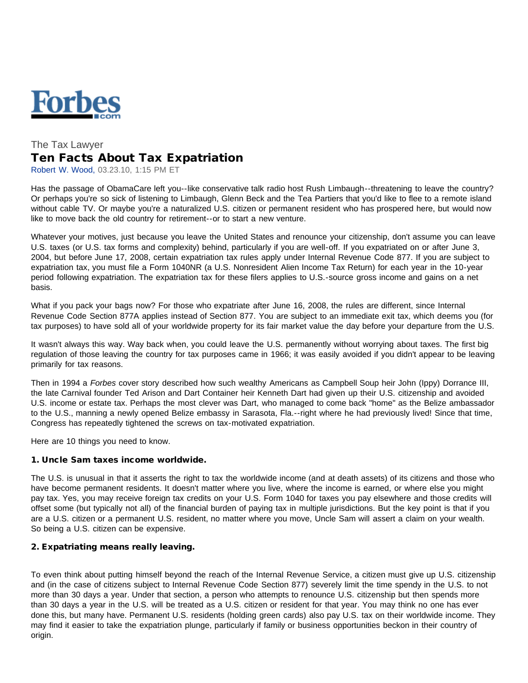

# The Tax Lawyer Ten Facts About Tax Expatriation

Robert W. Wood, 03.23.10, 1:15 PM ET

Has the passage of ObamaCare left you--like conservative talk radio host Rush Limbaugh--threatening to leave the country? Or perhaps you're so sick of listening to Limbaugh, Glenn Beck and the Tea Partiers that you'd like to flee to a remote island without cable TV. Or maybe you're a naturalized U.S. citizen or permanent resident who has prospered here, but would now like to move back the old country for retirement--or to start a new venture.

Whatever your motives, just because you leave the United States and renounce your citizenship, don't assume you can leave U.S. taxes (or U.S. tax forms and complexity) behind, particularly if you are well-off. If you expatriated on or after June 3, 2004, but before June 17, 2008, certain expatriation tax rules apply under Internal Revenue Code 877. If you are subject to expatriation tax, you must file a Form 1040NR (a U.S. Nonresident Alien Income Tax Return) for each year in the 10-year period following expatriation. The expatriation tax for these filers applies to U.S.-source gross income and gains on a net basis.

What if you pack your bags now? For those who expatriate after June 16, 2008, the rules are different, since Internal Revenue Code Section 877A applies instead of Section 877. You are subject to an immediate exit tax, which deems you (for tax purposes) to have sold all of your worldwide property for its fair market value the day before your departure from the U.S.

It wasn't always this way. Way back when, you could leave the U.S. permanently without worrying about taxes. The first big regulation of those leaving the country for tax purposes came in 1966; it was easily avoided if you didn't appear to be leaving primarily for tax reasons.

Then in 1994 a *Forbes* cover story described how such wealthy Americans as Campbell Soup heir John (Ippy) Dorrance III, the late Carnival founder Ted Arison and Dart Container heir Kenneth Dart had given up their U.S. citizenship and avoided U.S. income or estate tax. Perhaps the most clever was Dart, who managed to come back "home" as the Belize ambassador to the U.S., manning a newly opened Belize embassy in Sarasota, Fla.--right where he had previously lived! Since that time, Congress has repeatedly tightened the screws on tax-motivated expatriation.

Here are 10 things you need to know.

#### 1. Uncle Sam taxes income worldwide.

The U.S. is unusual in that it asserts the right to tax the worldwide income (and at death assets) of its citizens and those who have become permanent residents. It doesn't matter where you live, where the income is earned, or where else you might pay tax. Yes, you may receive foreign tax credits on your U.S. Form 1040 for taxes you pay elsewhere and those credits will offset some (but typically not all) of the financial burden of paying tax in multiple jurisdictions. But the key point is that if you are a U.S. citizen or a permanent U.S. resident, no matter where you move, Uncle Sam will assert a claim on your wealth. So being a U.S. citizen can be expensive.

## 2. Expatriating means really leaving.

To even think about putting himself beyond the reach of the Internal Revenue Service, a citizen must give up U.S. citizenship and (in the case of citizens subject to Internal Revenue Code Section 877) severely limit the time spendy in the U.S. to not more than 30 days a year. Under that section, a person who attempts to renounce U.S. citizenship but then spends more than 30 days a year in the U.S. will be treated as a U.S. citizen or resident for that year. You may think no one has ever done this, but many have. Permanent U.S. residents (holding green cards) also pay U.S. tax on their worldwide income. They may find it easier to take the expatriation plunge, particularly if family or business opportunities beckon in their country of origin.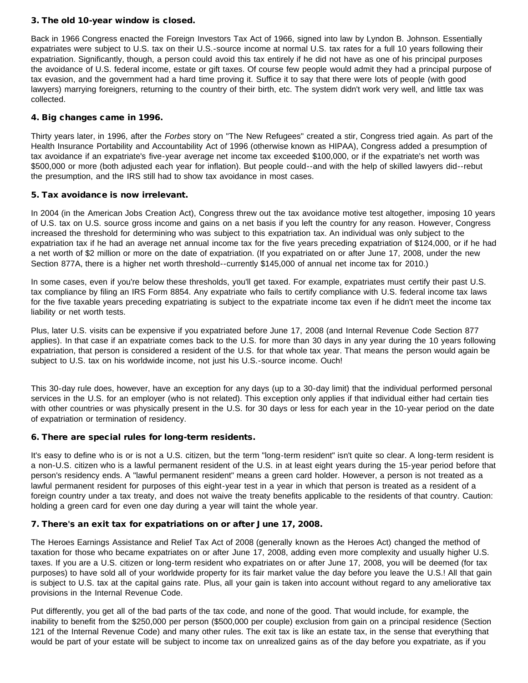## 3. The old 10-year window is closed.

Back in 1966 Congress enacted the Foreign Investors Tax Act of 1966, signed into law by Lyndon B. Johnson. Essentially expatriates were subject to U.S. tax on their U.S.-source income at normal U.S. tax rates for a full 10 years following their expatriation. Significantly, though, a person could avoid this tax entirely if he did not have as one of his principal purposes the avoidance of U.S. federal income, estate or gift taxes. Of course few people would admit they had a principal purpose of tax evasion, and the government had a hard time proving it. Suffice it to say that there were lots of people (with good lawyers) marrying foreigners, returning to the country of their birth, etc. The system didn't work very well, and little tax was collected.

## 4. Big changes came in 1996.

Thirty years later, in 1996, after the *Forbes* story on "The New Refugees" created a stir, Congress tried again. As part of the Health Insurance Portability and Accountability Act of 1996 (otherwise known as HIPAA), Congress added a presumption of tax avoidance if an expatriate's five-year average net income tax exceeded \$100,000, or if the expatriate's net worth was \$500,000 or more (both adjusted each year for inflation). But people could--and with the help of skilled lawyers did--rebut the presumption, and the IRS still had to show tax avoidance in most cases.

#### 5. Tax avoidance is now irrelevant.

In 2004 (in the American Jobs Creation Act), Congress threw out the tax avoidance motive test altogether, imposing 10 years of U.S. tax on U.S. source gross income and gains on a net basis if you left the country for any reason. However, Congress increased the threshold for determining who was subject to this expatriation tax. An individual was only subject to the expatriation tax if he had an average net annual income tax for the five years preceding expatriation of \$124,000, or if he had a net worth of \$2 million or more on the date of expatriation. (If you expatriated on or after June 17, 2008, under the new Section 877A, there is a higher net worth threshold--currently \$145,000 of annual net income tax for 2010.)

In some cases, even if you're below these thresholds, you'll get taxed. For example, expatriates must certify their past U.S. tax compliance by filing an IRS Form 8854. Any expatriate who fails to certify compliance with U.S. federal income tax laws for the five taxable years preceding expatriating is subject to the expatriate income tax even if he didn't meet the income tax liability or net worth tests.

Plus, later U.S. visits can be expensive if you expatriated before June 17, 2008 (and Internal Revenue Code Section 877 applies). In that case if an expatriate comes back to the U.S. for more than 30 days in any year during the 10 years following expatriation, that person is considered a resident of the U.S. for that whole tax year. That means the person would again be subject to U.S. tax on his worldwide income, not just his U.S.-source income. Ouch!

This 30-day rule does, however, have an exception for any days (up to a 30-day limit) that the individual performed personal services in the U.S. for an employer (who is not related). This exception only applies if that individual either had certain ties with other countries or was physically present in the U.S. for 30 days or less for each year in the 10-year period on the date of expatriation or termination of residency.

#### 6. There are special rules for long-term residents.

It's easy to define who is or is not a U.S. citizen, but the term "long-term resident" isn't quite so clear. A long-term resident is a non-U.S. citizen who is a lawful permanent resident of the U.S. in at least eight years during the 15-year period before that person's residency ends. A "lawful permanent resident" means a green card holder. However, a person is not treated as a lawful permanent resident for purposes of this eight-year test in a year in which that person is treated as a resident of a foreign country under a tax treaty, and does not waive the treaty benefits applicable to the residents of that country. Caution: holding a green card for even one day during a year will taint the whole year.

## 7. There's an exit tax for expatriations on or after June 17, 2008.

The Heroes Earnings Assistance and Relief Tax Act of 2008 (generally known as the Heroes Act) changed the method of taxation for those who became expatriates on or after June 17, 2008, adding even more complexity and usually higher U.S. taxes. If you are a U.S. citizen or long-term resident who expatriates on or after June 17, 2008, you will be deemed (for tax purposes) to have sold all of your worldwide property for its fair market value the day before you leave the U.S.! All that gain is subject to U.S. tax at the capital gains rate. Plus, all your gain is taken into account without regard to any ameliorative tax provisions in the Internal Revenue Code.

Put differently, you get all of the bad parts of the tax code, and none of the good. That would include, for example, the inability to benefit from the \$250,000 per person (\$500,000 per couple) exclusion from gain on a principal residence (Section 121 of the Internal Revenue Code) and many other rules. The exit tax is like an estate tax, in the sense that everything that would be part of your estate will be subject to income tax on unrealized gains as of the day before you expatriate, as if you